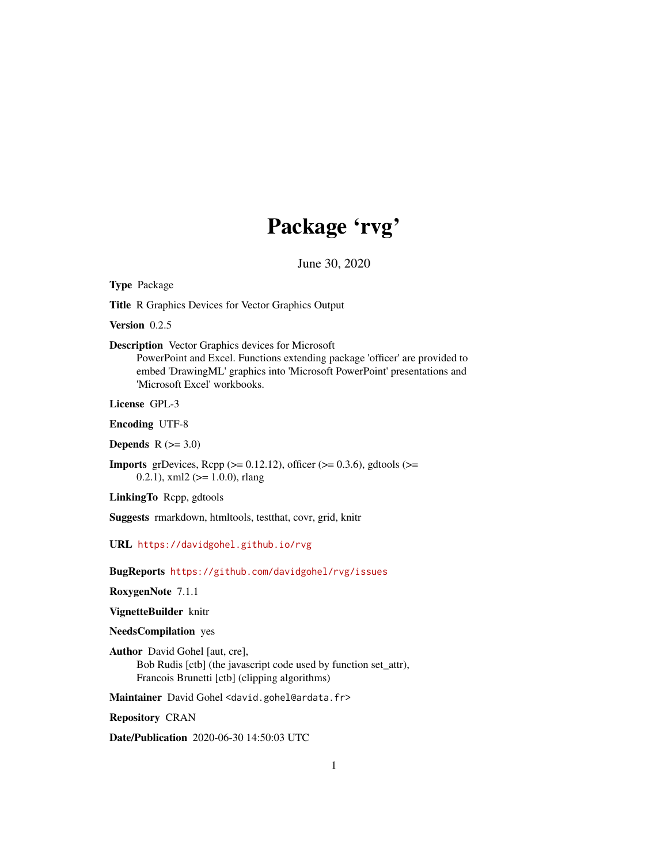## Package 'rvg'

June 30, 2020

<span id="page-0-0"></span>Type Package

Title R Graphics Devices for Vector Graphics Output

Version 0.2.5

Description Vector Graphics devices for Microsoft

PowerPoint and Excel. Functions extending package 'officer' are provided to embed 'DrawingML' graphics into 'Microsoft PowerPoint' presentations and 'Microsoft Excel' workbooks.

License GPL-3

Encoding UTF-8

Depends  $R$  ( $>= 3.0$ )

**Imports** grDevices, Rcpp ( $>= 0.12.12$ ), officer ( $>= 0.3.6$ ), gdtools ( $>=$ 0.2.1), xml2 ( $> = 1.0.0$ ), rlang

LinkingTo Rcpp, gdtools

Suggests rmarkdown, htmltools, testthat, covr, grid, knitr

URL <https://davidgohel.github.io/rvg>

BugReports <https://github.com/davidgohel/rvg/issues>

RoxygenNote 7.1.1

VignetteBuilder knitr

NeedsCompilation yes

Author David Gohel [aut, cre], Bob Rudis [ctb] (the javascript code used by function set\_attr), Francois Brunetti [ctb] (clipping algorithms)

Maintainer David Gohel <david.gohel@ardata.fr>

Repository CRAN

Date/Publication 2020-06-30 14:50:03 UTC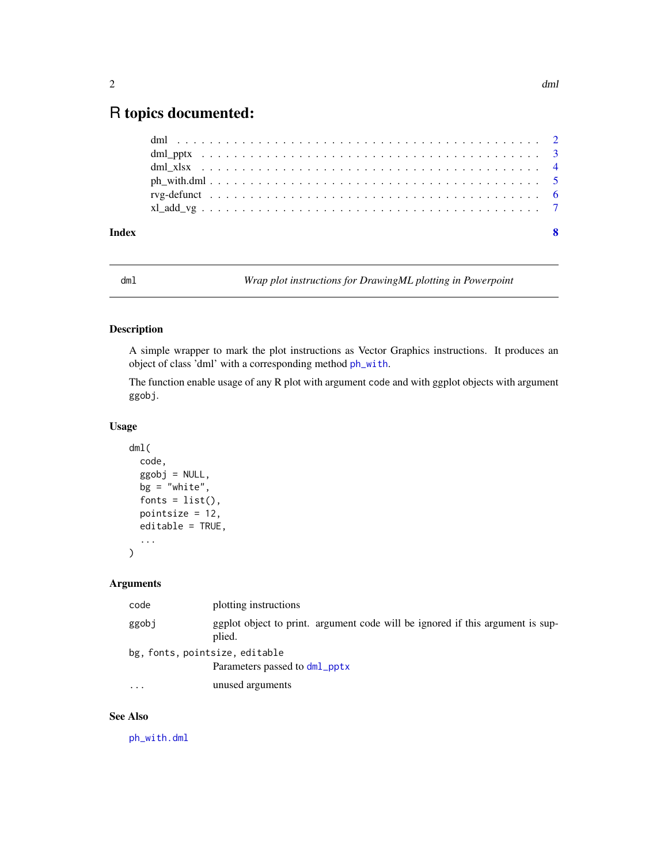### <span id="page-1-0"></span>R topics documented:

| Index | -8 |
|-------|----|
|       |    |
|       |    |
|       |    |
|       |    |
|       |    |
|       |    |

<span id="page-1-1"></span>dml *Wrap plot instructions for DrawingML plotting in Powerpoint*

#### Description

A simple wrapper to mark the plot instructions as Vector Graphics instructions. It produces an object of class 'dml' with a corresponding method [ph\\_with](#page-0-0).

The function enable usage of any R plot with argument code and with ggplot objects with argument ggobj.

#### Usage

```
dml(
  code,
  ggobj = NULL,bg = "white",fonts = list(),
 pointsize = 12,
  editable = TRUE,
  ...
```
)

#### Arguments

| code                           | plotting instructions                                                                    |
|--------------------------------|------------------------------------------------------------------------------------------|
| ggobj                          | ggplot object to print. argument code will be ignored if this argument is sup-<br>plied. |
| bg, fonts, pointsize, editable |                                                                                          |
|                                | Parameters passed to dml_pptx                                                            |
| $\cdots$                       | unused arguments                                                                         |
|                                |                                                                                          |

#### See Also

[ph\\_with.dml](#page-4-1)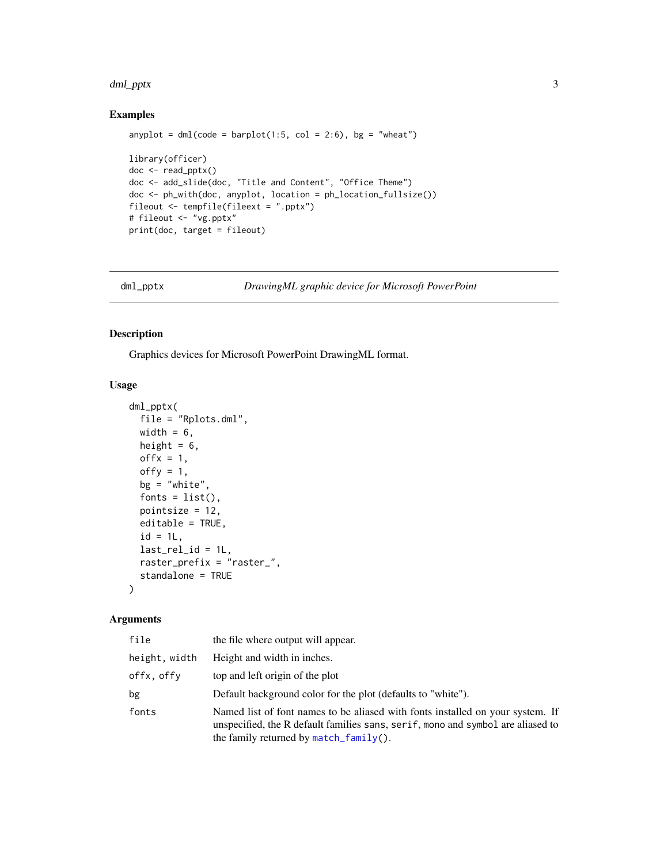#### <span id="page-2-0"></span>dml\_pptx 3

#### Examples

```
anyplot = dml(code = barplot(1:5, col = 2:6), bg = "wheat")library(officer)
doc <- read_pptx()
doc <- add_slide(doc, "Title and Content", "Office Theme")
doc <- ph_with(doc, anyplot, location = ph_location_fullsize())
fileout <- tempfile(fileext = ".pptx")
# fileout <- "vg.pptx"
print(doc, target = fileout)
```
<span id="page-2-1"></span>dml\_pptx *DrawingML graphic device for Microsoft PowerPoint*

#### Description

Graphics devices for Microsoft PowerPoint DrawingML format.

#### Usage

```
dml_pptx(
  file = "Rplots.dml",
 width = 6,
 height = 6,
 offx = 1,offy = 1,
 bg = "white",
  fonts = list(),
  pointsize = 12,
  editable = TRUE,
  id = 1L,
  last_{rel\_id} = 1L,
  raster_prefix = "raster_",
  standalone = TRUE
)
```
#### Arguments

| file          | the file where output will appear.                                                                                                                                                                             |
|---------------|----------------------------------------------------------------------------------------------------------------------------------------------------------------------------------------------------------------|
| height, width | Height and width in inches.                                                                                                                                                                                    |
| offx, offy    | top and left origin of the plot                                                                                                                                                                                |
| bg            | Default background color for the plot (defaults to "white").                                                                                                                                                   |
| fonts         | Named list of font names to be aliased with fonts installed on your system. If<br>unspecified, the R default families sans, serif, mono and symbol are aliased to<br>the family returned by $match_family()$ . |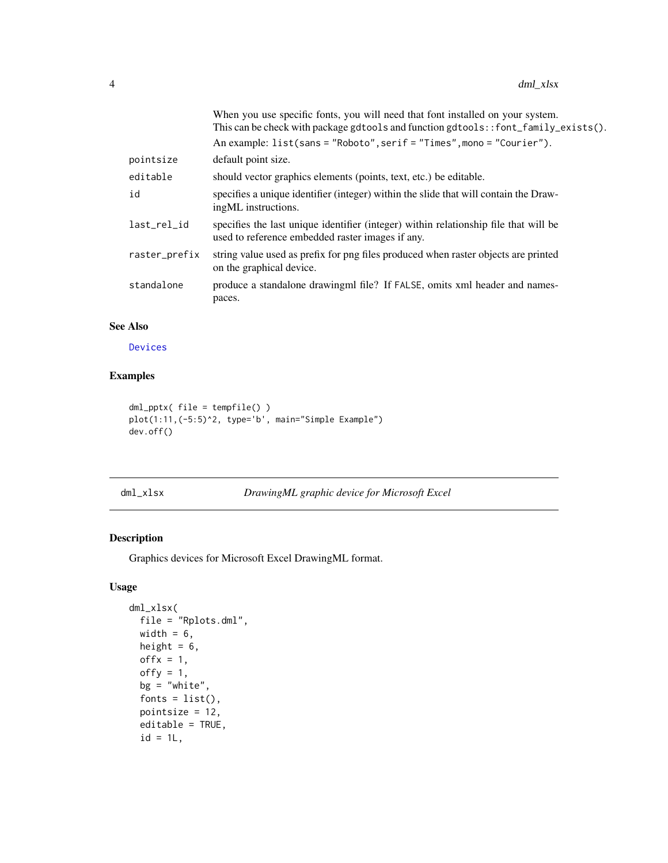<span id="page-3-0"></span>

|               | When you use specific fonts, you will need that font installed on your system.<br>This can be check with package gdtools and function gdtools: : font_family_exists(). |
|---------------|------------------------------------------------------------------------------------------------------------------------------------------------------------------------|
|               | An example: list(sans = "Roboto", serif = "Times", mono = "Courier").                                                                                                  |
| pointsize     | default point size.                                                                                                                                                    |
| editable      | should vector graphics elements (points, text, etc.) be editable.                                                                                                      |
| id            | specifies a unique identifier (integer) within the slide that will contain the Draw-<br>ingML instructions.                                                            |
| last_rel_id   | specifies the last unique identifier (integer) within relationship file that will be<br>used to reference embedded raster images if any.                               |
| raster_prefix | string value used as prefix for png files produced when raster objects are printed<br>on the graphical device.                                                         |
| standalone    | produce a standalone drawingml file? If FALSE, omits xml header and names-<br>paces.                                                                                   |
|               |                                                                                                                                                                        |

#### See Also

[Devices](#page-0-0)

#### Examples

```
dml_pptx( file = tempfile() )
plot(1:11,(-5:5)^2, type='b', main="Simple Example")
dev.off()
```
<span id="page-3-1"></span>dml\_xlsx *DrawingML graphic device for Microsoft Excel*

#### Description

Graphics devices for Microsoft Excel DrawingML format.

#### Usage

```
dml_xlsx(
 file = "Rplots.dml",
 width = 6,
 height = 6,
 offx = 1,offy = 1,
 bg = "white",fonts = list(),
 pointsize = 12,
 editable = TRUE,
 id = 1L,
```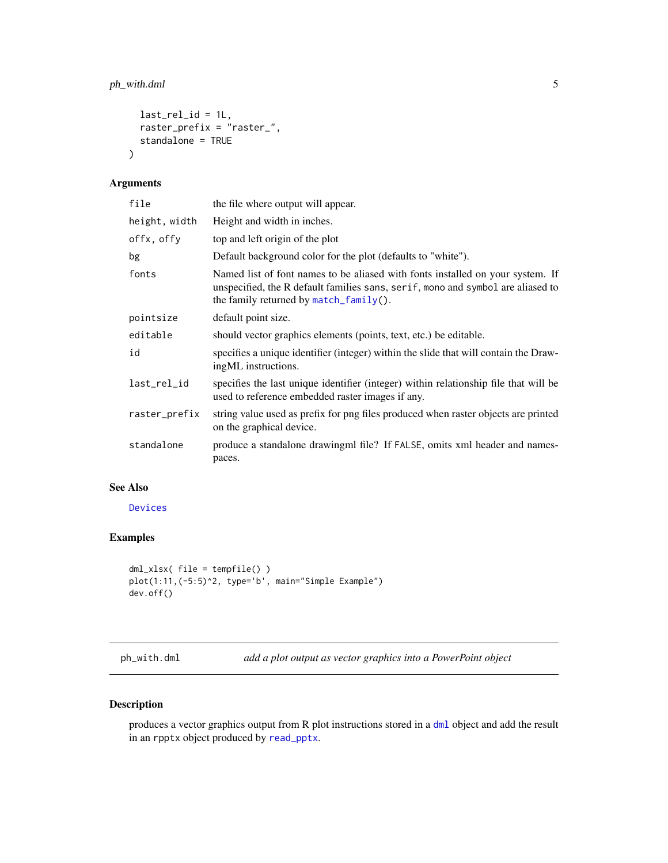#### <span id="page-4-0"></span>ph\_with.dml 5

```
last_{rel\_id} = 1L,
  raster_prefix = "raster_",
  standalone = TRUE
\mathcal{L}
```
#### Arguments

| file          | the file where output will appear.                                                                                                                                                                          |
|---------------|-------------------------------------------------------------------------------------------------------------------------------------------------------------------------------------------------------------|
| height, width | Height and width in inches.                                                                                                                                                                                 |
| offx, offy    | top and left origin of the plot                                                                                                                                                                             |
| bg            | Default background color for the plot (defaults to "white").                                                                                                                                                |
| fonts         | Named list of font names to be aliased with fonts installed on your system. If<br>unspecified, the R default families sans, serif, mono and symbol are aliased to<br>the family returned by match_family(). |
| pointsize     | default point size.                                                                                                                                                                                         |
| editable      | should vector graphics elements (points, text, etc.) be editable.                                                                                                                                           |
| id            | specifies a unique identifier (integer) within the slide that will contain the Draw-<br>ingML instructions.                                                                                                 |
| last_rel_id   | specifies the last unique identifier (integer) within relationship file that will be<br>used to reference embedded raster images if any.                                                                    |
| raster_prefix | string value used as prefix for png files produced when raster objects are printed<br>on the graphical device.                                                                                              |
| standalone    | produce a standalone drawing m file? If FALSE, omits xml header and names-<br>paces.                                                                                                                        |

#### See Also

[Devices](#page-0-0)

#### Examples

```
dml_xlsx( file = tempfile() )
plot(1:11,(-5:5)^2, type='b', main="Simple Example")
dev.off()
```
<span id="page-4-1"></span>ph\_with.dml *add a plot output as vector graphics into a PowerPoint object*

#### Description

produces a vector graphics output from R plot instructions stored in a [dml](#page-1-1) object and add the result in an rpptx object produced by [read\\_pptx](#page-0-0).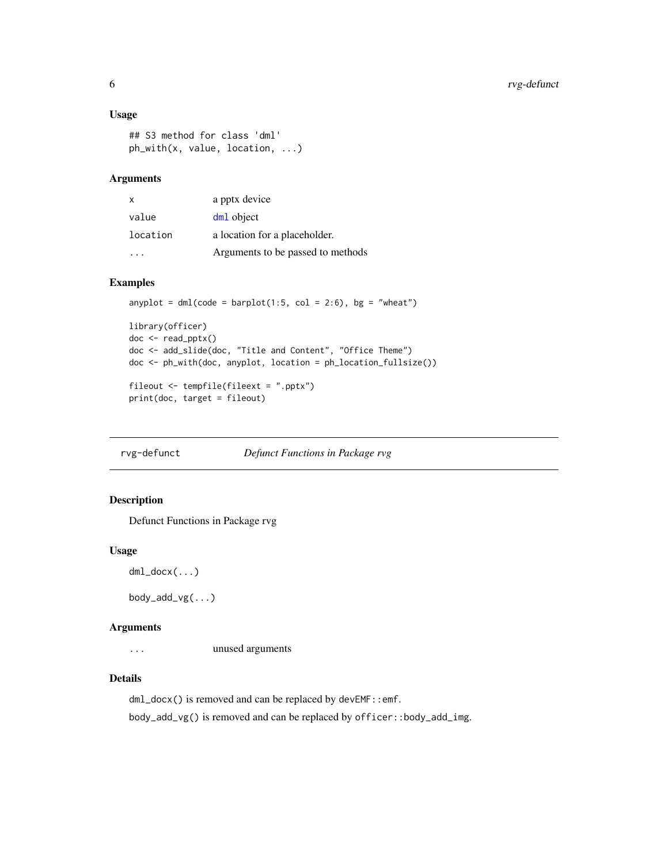#### <span id="page-5-0"></span>Usage

```
## S3 method for class 'dml'
ph_with(x, value, location, ...)
```
#### Arguments

| X        | a pptx device                     |
|----------|-----------------------------------|
| value    | dm <sub>1</sub> object            |
| location | a location for a placeholder.     |
|          | Arguments to be passed to methods |

#### Examples

```
anyplot = dml(code = bar(1:5, col = 2:6), bg = "wheat")
library(officer)
doc <- read_pptx()
doc <- add_slide(doc, "Title and Content", "Office Theme")
doc <- ph_with(doc, anyplot, location = ph_location_fullsize())
fileout <- tempfile(fileext = ".pptx")
print(doc, target = fileout)
```
rvg-defunct *Defunct Functions in Package rvg*

#### Description

Defunct Functions in Package rvg

#### Usage

```
dml_docx(...)
```
 $body\_add\_vg(...)$ 

#### Arguments

... unused arguments

#### Details

dml\_docx() is removed and can be replaced by devEMF::emf.

body\_add\_vg() is removed and can be replaced by officer::body\_add\_img.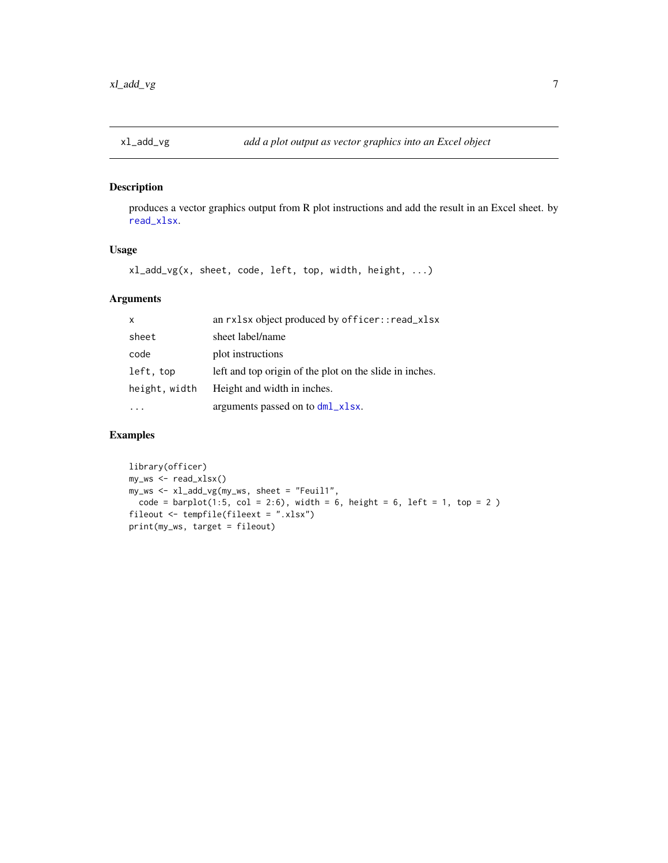<span id="page-6-0"></span>

#### Description

produces a vector graphics output from R plot instructions and add the result in an Excel sheet. by [read\\_xlsx](#page-0-0).

#### Usage

xl\_add\_vg(x, sheet, code, left, top, width, height, ...)

#### Arguments

| $\mathsf{x}$  | an rxlsx object produced by officer::read_xlsx          |
|---------------|---------------------------------------------------------|
| sheet         | sheet label/name                                        |
| code          | plot instructions                                       |
| left, top     | left and top origin of the plot on the slide in inches. |
| height, width | Height and width in inches.                             |
|               | arguments passed on to dml_xlsx.                        |

#### Examples

```
library(officer)
my_ws <- read_xlsx()
my_ws <- xl_add_vg(my_ws, sheet = "Feuil1",
  code = barplot(1:5, col = 2:6), width = 6, height = 6, left = 1, top = 2)fileout <- tempfile(fileext = ".xlsx")
print(my_ws, target = fileout)
```